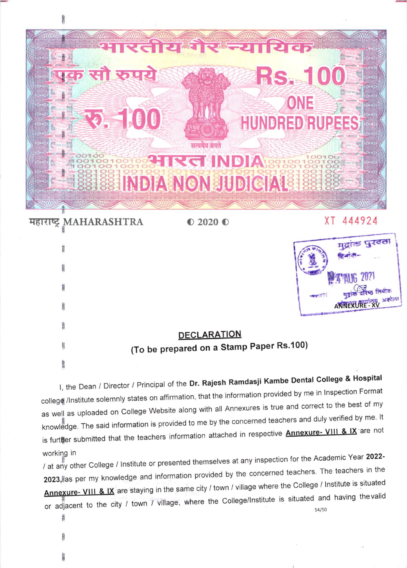

| 那度            | मुद्राक पुरदता                           |
|---------------|------------------------------------------|
|               |                                          |
| <b>X</b> this | लियोक                                    |
| 33333         | अकोर                                     |
| mare          | <b>DECLARATION</b>                       |
| Ę             | (To be prepared on a Stamp Paper Rs.100) |
|               |                                          |

I, the Dean / Director / Principal of the Dr. Rajesh Ramdasji Kambe Dental College & Hospital college /Institute solemnly states on affirmation, that the information provided by me in Inspection Format as well as uploaded on College Website along with all Annexures is true and correct to the best of my knowledge. The said information is provided to me by the concerned teachers and duly verified by me. It is further submitted that the teachers information attached in respective **Annexure- VIII & IX** are not working in

/ at any other College / Institute or presented themselves at any inspection for the Academic Year 2022-2023, as per my knowledge and information provided by the concerned teachers. The teachers in the Annexure- VIII & IX are staying in the same city / town / village where the College / Institute is situated or adjacent to the city / town / village, where the College/Institute is situated and having the valid 54/50

**SERT**